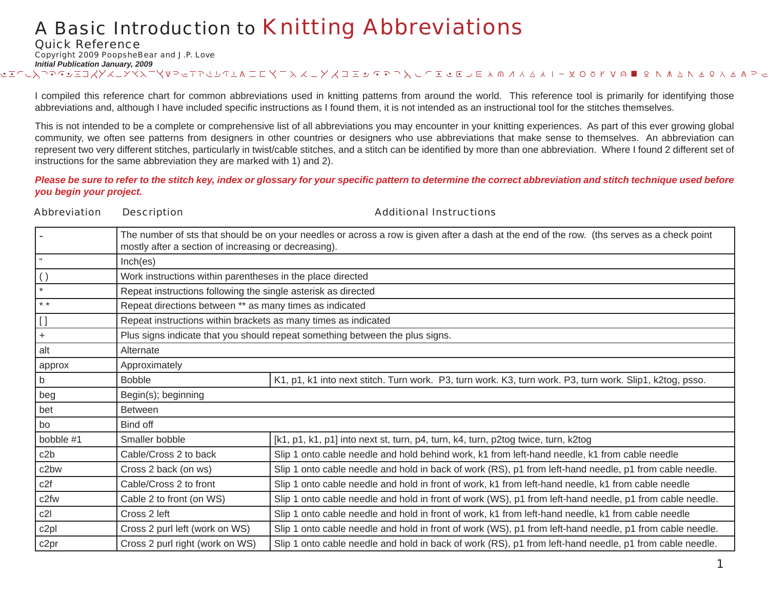Abbreviation Description Additional Instructions

Quick Reference

Copyright 2009 PoopsheBear and J.P. Love

*Initial Publication January, 2009* W V U T S R Q P O N M L K J I H G F E D 6 ! @ # \$ % ^ & \* 1 B C D E F J I K L M N O P Q R S T U V W X Y Z a b c d e f g h i j k l m n z y x v w x r t s r 1 ! @

I compiled this reference chart for common abbreviations used in knitting patterns from around the world. This reference tool is primarily for identifying those abbreviations and, although I have included specific instructions as I found them, it is not intended as an instructional tool for the stitches themselves.

This is not intended to be a complete or comprehensive list of all abbreviations you may encounter in your knitting experiences. As part of this ever growing global community, we often see patterns from designers in other countries or designers who use abbreviations that make sense to themselves. An abbreviation can represent two very different stitches, particularly in twist/cable stitches, and a stitch can be identified by more than one abbreviation. Where I found 2 different set of instructions for the same abbreviation they are marked with 1) and 2).

*Please be sure to refer to the stitch key, index or glossary for your specifi c pattern to determine the correct abbreviation and stitch technique used before you begin your project.*

| <b>DUSUIPHUII</b>                                                            |                                                                                                                                                                                     |  |
|------------------------------------------------------------------------------|-------------------------------------------------------------------------------------------------------------------------------------------------------------------------------------|--|
|                                                                              | The number of sts that should be on your needles or across a row is given after a dash at the end of the row. (ths serves as a check point                                          |  |
| Inch(es)                                                                     |                                                                                                                                                                                     |  |
|                                                                              |                                                                                                                                                                                     |  |
|                                                                              |                                                                                                                                                                                     |  |
|                                                                              | Repeat directions between ** as many times as indicated                                                                                                                             |  |
| Repeat instructions within brackets as many times as indicated               |                                                                                                                                                                                     |  |
| Plus signs indicate that you should repeat something between the plus signs. |                                                                                                                                                                                     |  |
| Alternate                                                                    |                                                                                                                                                                                     |  |
| Approximately                                                                |                                                                                                                                                                                     |  |
| <b>Bobble</b>                                                                | K1, p1, k1 into next stitch. Turn work. P3, turn work. K3, turn work. P3, turn work. Slip1, k2tog, psso.                                                                            |  |
| Begin(s); beginning                                                          |                                                                                                                                                                                     |  |
| <b>Between</b>                                                               |                                                                                                                                                                                     |  |
| Bind off                                                                     |                                                                                                                                                                                     |  |
| Smaller bobble                                                               | [k1, p1, k1, p1] into next st, turn, p4, turn, k4, turn, p2tog twice, turn, k2tog                                                                                                   |  |
| Cable/Cross 2 to back                                                        | Slip 1 onto cable needle and hold behind work, k1 from left-hand needle, k1 from cable needle                                                                                       |  |
| Cross 2 back (on ws)                                                         | Slip 1 onto cable needle and hold in back of work (RS), p1 from left-hand needle, p1 from cable needle.                                                                             |  |
| Cable/Cross 2 to front                                                       | Slip 1 onto cable needle and hold in front of work, k1 from left-hand needle, k1 from cable needle                                                                                  |  |
| Cable 2 to front (on WS)                                                     | Slip 1 onto cable needle and hold in front of work (WS), p1 from left-hand needle, p1 from cable needle.                                                                            |  |
| Cross 2 left                                                                 | Slip 1 onto cable needle and hold in front of work, k1 from left-hand needle, k1 from cable needle                                                                                  |  |
| Cross 2 purl left (work on WS)                                               | Slip 1 onto cable needle and hold in front of work (WS), p1 from left-hand needle, p1 from cable needle.                                                                            |  |
| Cross 2 purl right (work on WS)                                              | Slip 1 onto cable needle and hold in back of work (RS), p1 from left-hand needle, p1 from cable needle.                                                                             |  |
|                                                                              | mostly after a section of increasing or decreasing).<br>Work instructions within parentheses in the place directed<br>Repeat instructions following the single asterisk as directed |  |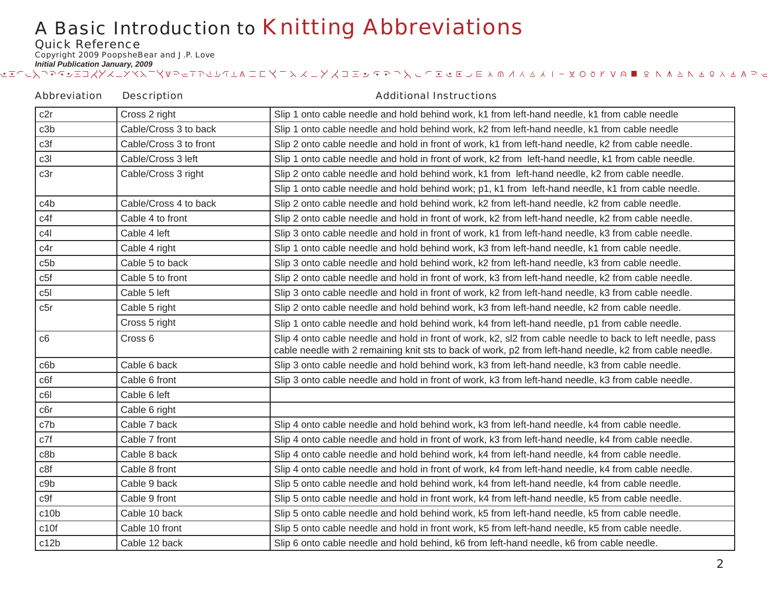Quick Reference

Copyright 2009 PoopsheBear and J.P. Love

*Initial Publication January, 2009* ఆ కొట్టాలు కాన్ని సాంస్థాని కాలా కార్లు కార్డి కాలా కార్డి కార్డి కార్డి కార్డి కార్డి అంటుంది.<br>ఆ కొట్టాలు కార్డి కార్డి కార్డి కార్డి కార్డి కార్డి కార్డి కార్డి కార్డి కార్డి కార్డి అంటుంది.

#### c2r Cross 2 right Slip 1 onto cable needle and hold behind work, k1 from left-hand needle, k1 from cable needle c3b Cable/Cross 3 to back Slip 1 onto cable needle and hold behind work, k2 from left-hand needle, k1 from cable needle c3f Cable/Cross 3 to front Slip 2 onto cable needle and hold in front of work, k1 from left-hand needle, k2 from cable needle. c3l Cable/Cross 3 left Slip 1 onto cable needle and hold in front of work, k2 from left-hand needle, k1 from cable needle. c3r <br>| Cable/Cross 3 right | Slip 2 onto cable needle and hold behind work, k1 from left-hand needle, k2 from cable needle. Slip 1 onto cable needle and hold behind work; p1, k1 from left-hand needle, k1 from cable needle. c4b Cable/Cross 4 to back Slip 2 onto cable needle and hold behind work, k2 from left-hand needle, k2 from cable needle. c4f Cable 4 to front Slip 2 onto cable needle and hold in front of work, k2 from left-hand needle, k2 from cable needle. c4l Cable 4 left Slip 3 onto cable needle and hold in front of work, k1 from left-hand needle, k3 from cable needle. c4r Cable 4 right Slip 1 onto cable needle and hold behind work, k3 from left-hand needle, k1 from cable needle. c5b Cable 5 to back Slip 3 onto cable needle and hold behind work, k2 from left-hand needle, k3 from cable needle. c5f c5f c5f c5f c5ble 5 to front Slip 2 onto cable needle and hold in front of work, k3 from left-hand needle, k2 from cable needle. c5l Cable 5 left Slip 3 onto cable needle and hold in front of work, k2 from left-hand needle, k3 from cable needle. c5r c5r c5r c5r c5r c5r c5r c5r c6r cable 5 right Cable 5 right of Slip 2 onto cable needle and hold behind work, k3 from left-hand needle, k2 from cable needle. Cross 5 right Slip 1 onto cable needle and hold behind work, k4 from left-hand needle, p1 from cable needle. c6 Cross 6 Slip 4 onto cable needle and hold in front of work, k2, sl2 from cable needle to back to left needle, pass cable needle with 2 remaining knit sts to back of work, p2 from left-hand needle, k2 from cable needle. c6b Cable 6 back Slip 3 onto cable needle and hold behind work, k3 from left-hand needle, k3 from cable needle. c6f comes content Cable 6 front Slip 3 onto cable needle and hold in front of work, k3 from left-hand needle, k3 from cable needle. c6l Cable 6 leftc6r | Cable 6 right c7b Cable 7 back Slip 4 onto cable needle and hold behind work, k3 from left-hand needle, k4 from cable needle. c7f Cable 7 front Slip 4 onto cable needle and hold in front of work, k3 from left-hand needle, k4 from cable needle. c8b Cable 8 back Slip 4 onto cable needle and hold behind work, k4 from left-hand needle, k4 from cable needle. c8f Cable 8 front Slip 4 onto cable needle and hold in front of work, k4 from left-hand needle, k4 from cable needle. c9b Cable 9 back Slip 5 onto cable needle and hold behind work, k4 from left-hand needle, k4 from cable needle. c9f Cable 9 front Slip 5 onto cable needle and hold in front work, k4 from left-hand needle, k5 from cable needle. c10b Cable 10 back Slip 5 onto cable needle and hold behind work, k5 from left-hand needle, k5 from cable needle. c10f Cable 10 front Slip 5 onto cable needle and hold in front work, k5 from left-hand needle, k5 from cable needle. c12b Cable 12 back Slip 6 onto cable needle and hold behind, k6 from left-hand needle, k6 from cable needle. Abbreviation Description **Additional Instructions**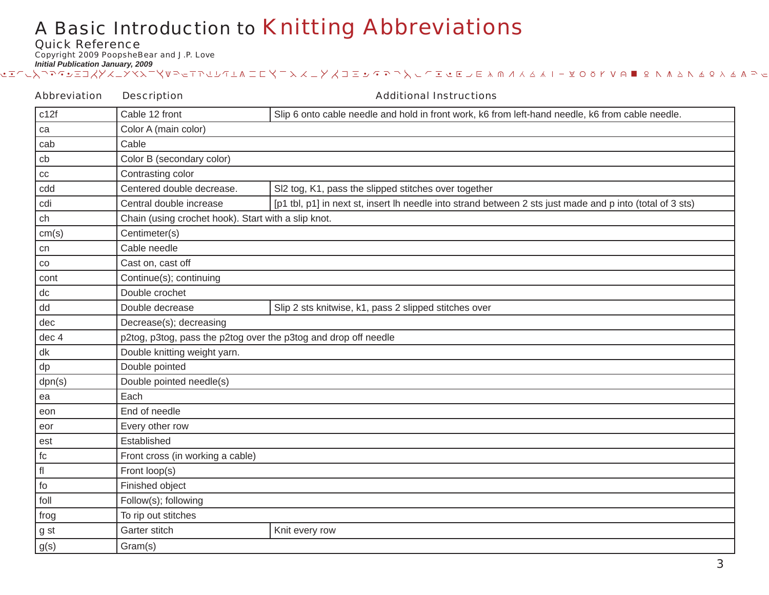Quick Reference

Copyright 2009 PoopsheBear and J.P. Love

| <b>Abbreviation</b> | <b>Description</b>                                              | <b>Additional Instructions</b>                                                                            |  |
|---------------------|-----------------------------------------------------------------|-----------------------------------------------------------------------------------------------------------|--|
| c12f                | Cable 12 front                                                  | Slip 6 onto cable needle and hold in front work, k6 from left-hand needle, k6 from cable needle.          |  |
| ca                  | Color A (main color)                                            |                                                                                                           |  |
| cab                 | Cable                                                           |                                                                                                           |  |
| cb                  | Color B (secondary color)                                       |                                                                                                           |  |
| $_{\rm CC}$         | Contrasting color                                               |                                                                                                           |  |
| cdd                 | Centered double decrease.                                       | SI2 tog, K1, pass the slipped stitches over together                                                      |  |
| cdi                 | Central double increase                                         | [p1 tbl, p1] in next st, insert lh needle into strand between 2 sts just made and p into (total of 3 sts) |  |
| ch                  | Chain (using crochet hook). Start with a slip knot.             |                                                                                                           |  |
| cm(s)               | Centimeter(s)                                                   |                                                                                                           |  |
| cn                  | Cable needle                                                    |                                                                                                           |  |
| $_{\rm CO}$         | Cast on, cast off                                               |                                                                                                           |  |
| cont                | Continue(s); continuing                                         |                                                                                                           |  |
| dc                  | Double crochet                                                  |                                                                                                           |  |
| dd                  | Double decrease                                                 | Slip 2 sts knitwise, k1, pass 2 slipped stitches over                                                     |  |
| dec                 | Decrease(s); decreasing                                         |                                                                                                           |  |
| dec 4               | p2tog, p3tog, pass the p2tog over the p3tog and drop off needle |                                                                                                           |  |
| dk                  | Double knitting weight yarn.                                    |                                                                                                           |  |
| dp                  | Double pointed                                                  |                                                                                                           |  |
| dpn(s)              | Double pointed needle(s)                                        |                                                                                                           |  |
| ea                  | Each                                                            |                                                                                                           |  |
| eon                 | End of needle                                                   |                                                                                                           |  |
| eor                 | Every other row                                                 |                                                                                                           |  |
| est                 | Established                                                     |                                                                                                           |  |
| fc                  | Front cross (in working a cable)                                |                                                                                                           |  |
| fl                  | Front loop(s)                                                   |                                                                                                           |  |
| fo                  | Finished object                                                 |                                                                                                           |  |
| foll                | Follow(s); following                                            |                                                                                                           |  |
| frog                | To rip out stitches                                             |                                                                                                           |  |
| g st                | Garter stitch                                                   | Knit every row                                                                                            |  |
| g(s)                | Gram(s)                                                         |                                                                                                           |  |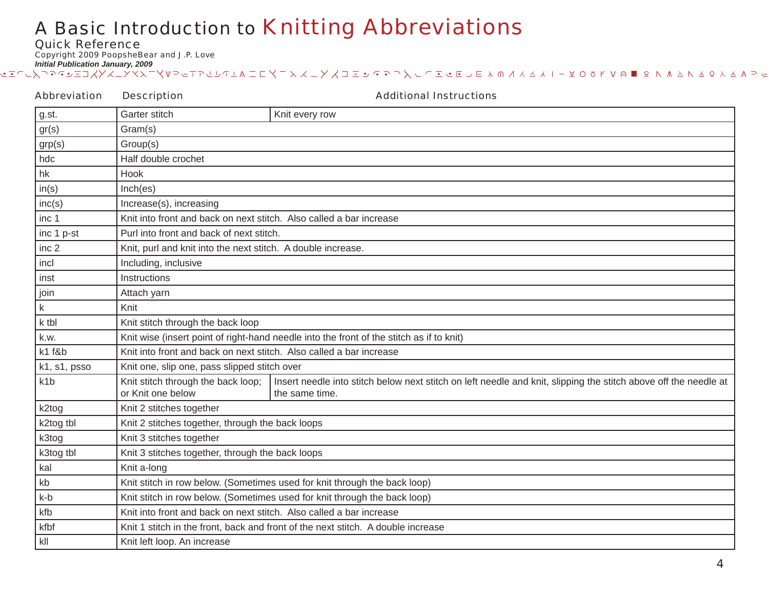Quick Reference

Copyright 2009 PoopsheBear and J.P. Love

*Initial Publication January, 2009* ఆ కొట్టాలు కాన్ని సాంస్థాని కాలా కార్లు కార్డి కాలా కార్డి కార్డి కార్డి కార్డి కార్డి అంటుంది.<br>ఆ కొట్టాలు కార్డి కార్డి కార్డి కార్డి కార్డి కార్డి కార్డి కార్డి కార్డి కార్డి కార్డి అంటుంది.

#### g.st. Garter stitch Knit every row gr(s) Gram(s) grp(s) Group(s) hdc **Half double crochet** hk **Hook**  $in(s)$   $|Inch(es)$ inc(s) | Increase(s), increasing inc 1 Knit into front and back on next stitch. Also called a bar increase $\lvert$  Purl into front and back of next stitch. inc 2 Knit, purl and knit into the next stitch. A double increase. incl | Including, inclusive inst Instructions join Reserves Attach yarn k Richard Knit k tbl Knit stitch through the back loop k.w.  $\kappa$  Knit wise (insert point of right-hand needle into the front of the stitch as if to knit) k1 f&b Knit into front and back on next stitch. Also called a bar increase  $k1$ , s1, psso  $\blacksquare$  Knit one, slip one, pass slipped stitch over k1b Knit stitch through the back loop; or Knit one belowInsert needle into stitch below next stitch on left needle and knit, slipping the stitch above off the needle at the same time.k2tog Knit 2 stitches together  $k2$ tog tbl  $\vert$  Knit 2 stitches together, through the back loops k3tog Knit 3 stitches together k3tog tbl Knit 3 stitches together, through the back loops kal Knit a-long kb Knit stitch in row below. (Sometimes used for knit through the back loop) k-b Knit stitch in row below. (Sometimes used for knit through the back loop) kfb Knit into front and back on next stitch. Also called a bar increase  $\mathsf{K}$  Knit 1 stitch in the front, back and front of the next stitch. A double increase kll Knit left loop. An increase Abbreviation Description **Additional Instructions**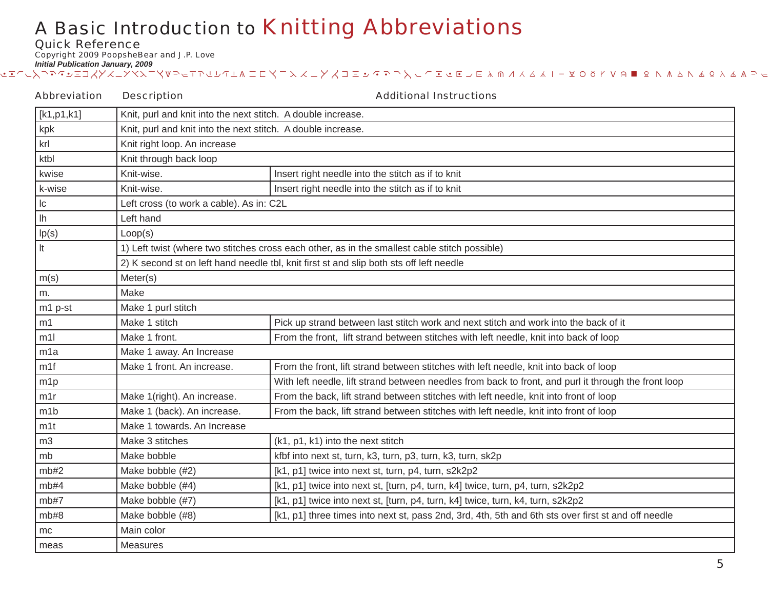Quick Reference

Copyright 2009 PoopsheBear and J.P. Love

| <b>Abbreviation</b>          | <b>Description</b>                                                                            | <b>Additional Instructions</b>                                                                       |
|------------------------------|-----------------------------------------------------------------------------------------------|------------------------------------------------------------------------------------------------------|
| $\lfloor k1, p1, k1 \rfloor$ | Knit, purl and knit into the next stitch. A double increase.                                  |                                                                                                      |
| kpk                          | Knit, purl and knit into the next stitch. A double increase.                                  |                                                                                                      |
| krl                          | Knit right loop. An increase                                                                  |                                                                                                      |
| ktbl                         | Knit through back loop                                                                        |                                                                                                      |
| kwise                        | Knit-wise.                                                                                    | Insert right needle into the stitch as if to knit                                                    |
| k-wise                       | Knit-wise.                                                                                    | Insert right needle into the stitch as if to knit                                                    |
| c                            | Left cross (to work a cable). As in: C2L                                                      |                                                                                                      |
| $\overline{\ln}$             | Left hand                                                                                     |                                                                                                      |
| lp(s)                        | Loop(s)                                                                                       |                                                                                                      |
| It                           | 1) Left twist (where two stitches cross each other, as in the smallest cable stitch possible) |                                                                                                      |
|                              |                                                                                               | 2) K second st on left hand needle tbl, knit first st and slip both sts off left needle              |
| m(s)                         | Meter(s)                                                                                      |                                                                                                      |
| m.                           | Make                                                                                          |                                                                                                      |
| m1 p-st                      | Make 1 purl stitch                                                                            |                                                                                                      |
| m1                           | Make 1 stitch                                                                                 | Pick up strand between last stitch work and next stitch and work into the back of it                 |
| m11                          | Make 1 front.                                                                                 | From the front, lift strand between stitches with left needle, knit into back of loop                |
| m1a                          | Make 1 away. An Increase                                                                      |                                                                                                      |
| m1f                          | Make 1 front. An increase.                                                                    | From the front, lift strand between stitches with left needle, knit into back of loop                |
| m1p                          |                                                                                               | With left needle, lift strand between needles from back to front, and purl it through the front loop |
| m1r                          | Make 1(right). An increase.                                                                   | From the back, lift strand between stitches with left needle, knit into front of loop                |
| m1b                          | Make 1 (back). An increase.                                                                   | From the back, lift strand between stitches with left needle, knit into front of loop                |
| m1t                          | Make 1 towards. An Increase                                                                   |                                                                                                      |
| m3                           | Make 3 stitches                                                                               | (k1, p1, k1) into the next stitch                                                                    |
| mb                           | Make bobble                                                                                   | kfbf into next st, turn, k3, turn, p3, turn, k3, turn, sk2p                                          |
| mb#2                         | Make bobble (#2)                                                                              | [k1, p1] twice into next st, turn, p4, turn, s2k2p2                                                  |
| mb#4                         | Make bobble (#4)                                                                              | [k1, p1] twice into next st, [turn, p4, turn, k4] twice, turn, p4, turn, s2k2p2                      |
| mb#7                         | Make bobble (#7)                                                                              | [k1, p1] twice into next st, [turn, p4, turn, k4] twice, turn, k4, turn, s2k2p2                      |
| mb#8                         | Make bobble (#8)                                                                              | [k1, p1] three times into next st, pass 2nd, 3rd, 4th, 5th and 6th sts over first st and off needle  |
| mc                           | Main color                                                                                    |                                                                                                      |
| meas                         | Measures                                                                                      |                                                                                                      |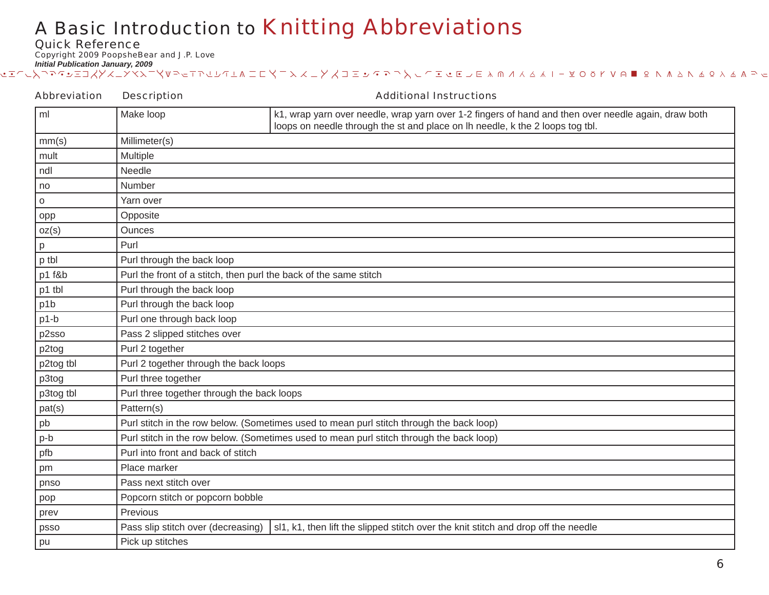Quick Reference

Copyright 2009 PoopsheBear and J.P. Love

| <b>Abbreviation</b> | <b>Description</b>                                                                       | <b>Additional Instructions</b>                                                                                                                                                       |
|---------------------|------------------------------------------------------------------------------------------|--------------------------------------------------------------------------------------------------------------------------------------------------------------------------------------|
| ml                  | Make loop                                                                                | k1, wrap yarn over needle, wrap yarn over 1-2 fingers of hand and then over needle again, draw both<br>loops on needle through the st and place on lh needle, k the 2 loops tog tbl. |
| mm(s)               | Millimeter(s)                                                                            |                                                                                                                                                                                      |
| mult                | Multiple                                                                                 |                                                                                                                                                                                      |
| ndl                 | Needle                                                                                   |                                                                                                                                                                                      |
| no                  | Number                                                                                   |                                                                                                                                                                                      |
| O                   | Yarn over                                                                                |                                                                                                                                                                                      |
| opp                 | Opposite                                                                                 |                                                                                                                                                                                      |
| oz(s)               | Ounces                                                                                   |                                                                                                                                                                                      |
| р                   | Purl                                                                                     |                                                                                                                                                                                      |
| p tbl               | Purl through the back loop                                                               |                                                                                                                                                                                      |
| p1 f&b              | Purl the front of a stitch, then purl the back of the same stitch                        |                                                                                                                                                                                      |
| p1 tbl              | Purl through the back loop                                                               |                                                                                                                                                                                      |
| p1b                 | Purl through the back loop                                                               |                                                                                                                                                                                      |
| $p1-b$              | Purl one through back loop                                                               |                                                                                                                                                                                      |
| p2sso               | Pass 2 slipped stitches over                                                             |                                                                                                                                                                                      |
| p2tog               | Purl 2 together                                                                          |                                                                                                                                                                                      |
| p2tog tbl           | Purl 2 together through the back loops                                                   |                                                                                                                                                                                      |
| p3tog               | Purl three together                                                                      |                                                                                                                                                                                      |
| p3tog tbl           | Purl three together through the back loops                                               |                                                                                                                                                                                      |
| pat(s)              | Pattern(s)                                                                               |                                                                                                                                                                                      |
| pb                  | Purl stitch in the row below. (Sometimes used to mean purl stitch through the back loop) |                                                                                                                                                                                      |
| p-b                 | Purl stitch in the row below. (Sometimes used to mean purl stitch through the back loop) |                                                                                                                                                                                      |
| pfb                 | Purl into front and back of stitch                                                       |                                                                                                                                                                                      |
| pm                  | Place marker                                                                             |                                                                                                                                                                                      |
| pnso                | Pass next stitch over                                                                    |                                                                                                                                                                                      |
| pop                 | Popcorn stitch or popcorn bobble                                                         |                                                                                                                                                                                      |
| prev                | Previous                                                                                 |                                                                                                                                                                                      |
| psso                | Pass slip stitch over (decreasing)                                                       | sl1, k1, then lift the slipped stitch over the knit stitch and drop off the needle                                                                                                   |
| pu                  | Pick up stitches                                                                         |                                                                                                                                                                                      |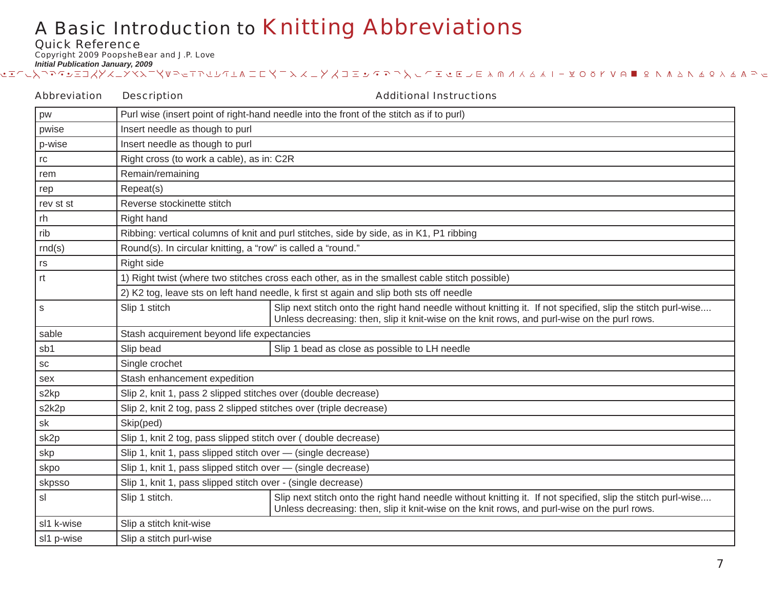Quick Reference

Copyright 2009 PoopsheBear and J.P. Love

| <b>Abbreviation</b>    | <b>Description</b>                                                                      | <b>Additional Instructions</b>                                                                                                                                                                               |  |
|------------------------|-----------------------------------------------------------------------------------------|--------------------------------------------------------------------------------------------------------------------------------------------------------------------------------------------------------------|--|
| pw                     |                                                                                         | Purl wise (insert point of right-hand needle into the front of the stitch as if to purl)                                                                                                                     |  |
| pwise                  | Insert needle as though to purl                                                         |                                                                                                                                                                                                              |  |
| p-wise                 | Insert needle as though to purl                                                         |                                                                                                                                                                                                              |  |
| $\mathop{\mathsf{rc}}$ | Right cross (to work a cable), as in: C2R                                               |                                                                                                                                                                                                              |  |
| rem                    | Remain/remaining                                                                        |                                                                                                                                                                                                              |  |
| rep                    | Repeat(s)                                                                               |                                                                                                                                                                                                              |  |
| rev st st              | Reverse stockinette stitch                                                              |                                                                                                                                                                                                              |  |
| rh                     | Right hand                                                                              |                                                                                                                                                                                                              |  |
| rib                    |                                                                                         | Ribbing: vertical columns of knit and purl stitches, side by side, as in K1, P1 ribbing                                                                                                                      |  |
| rnd(s)                 |                                                                                         | Round(s). In circular knitting, a "row" is called a "round."                                                                                                                                                 |  |
| rs                     | Right side                                                                              |                                                                                                                                                                                                              |  |
| rt                     |                                                                                         | 1) Right twist (where two stitches cross each other, as in the smallest cable stitch possible)                                                                                                               |  |
|                        | 2) K2 tog, leave sts on left hand needle, k first st again and slip both sts off needle |                                                                                                                                                                                                              |  |
| s                      | Slip 1 stitch                                                                           | Slip next stitch onto the right hand needle without knitting it. If not specified, slip the stitch purl-wise<br>Unless decreasing: then, slip it knit-wise on the knit rows, and purl-wise on the purl rows. |  |
| sable                  | Stash acquirement beyond life expectancies                                              |                                                                                                                                                                                                              |  |
| sb1                    | Slip bead                                                                               | Slip 1 bead as close as possible to LH needle                                                                                                                                                                |  |
| SC                     | Single crochet                                                                          |                                                                                                                                                                                                              |  |
| sex                    | Stash enhancement expedition                                                            |                                                                                                                                                                                                              |  |
| s2kp                   | Slip 2, knit 1, pass 2 slipped stitches over (double decrease)                          |                                                                                                                                                                                                              |  |
| s2k2p                  | Slip 2, knit 2 tog, pass 2 slipped stitches over (triple decrease)                      |                                                                                                                                                                                                              |  |
| sk                     | Skip(ped)                                                                               |                                                                                                                                                                                                              |  |
| sk2p                   | Slip 1, knit 2 tog, pass slipped stitch over (double decrease)                          |                                                                                                                                                                                                              |  |
| skp                    | Slip 1, knit 1, pass slipped stitch over - (single decrease)                            |                                                                                                                                                                                                              |  |
| skpo                   | Slip 1, knit 1, pass slipped stitch over - (single decrease)                            |                                                                                                                                                                                                              |  |
| skpsso                 | Slip 1, knit 1, pass slipped stitch over - (single decrease)                            |                                                                                                                                                                                                              |  |
| sl                     | Slip 1 stitch.                                                                          | Slip next stitch onto the right hand needle without knitting it. If not specified, slip the stitch purl-wise<br>Unless decreasing: then, slip it knit-wise on the knit rows, and purl-wise on the purl rows. |  |
| sl1 k-wise             | Slip a stitch knit-wise                                                                 |                                                                                                                                                                                                              |  |
| sl1 p-wise             | Slip a stitch purl-wise                                                                 |                                                                                                                                                                                                              |  |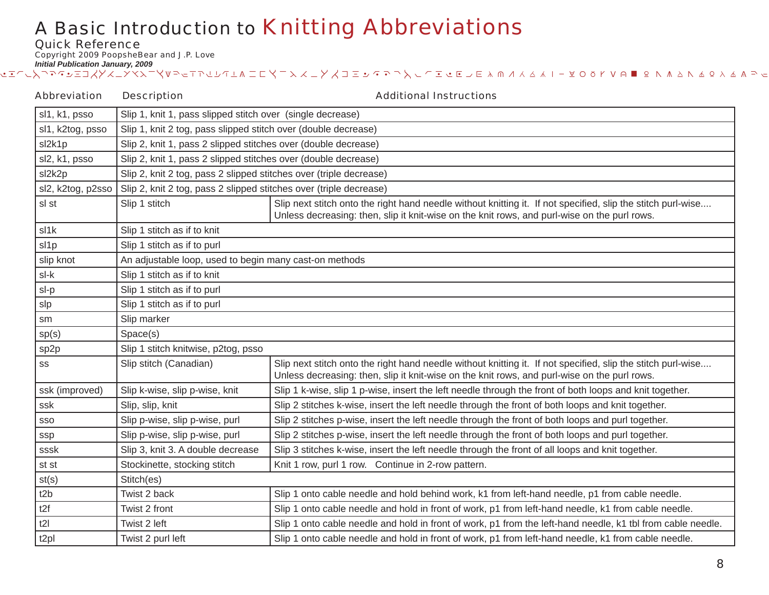Quick Reference

Copyright 2009 PoopsheBear and J.P. Love

*Initial Publication January, 2009* , which we determine the computancy, we want that we want to compute the computance of the computer of the computer of the formulation of the formulation of the formulation of the formulation of the formulation of the for

| <b>Abbreviation</b> | <b>Description</b>                                                 | <b>Additional Instructions</b>                                                                                                                                                                               |
|---------------------|--------------------------------------------------------------------|--------------------------------------------------------------------------------------------------------------------------------------------------------------------------------------------------------------|
| sl1, k1, psso       | Slip 1, knit 1, pass slipped stitch over (single decrease)         |                                                                                                                                                                                                              |
| sl1, k2tog, psso    | Slip 1, knit 2 tog, pass slipped stitch over (double decrease)     |                                                                                                                                                                                                              |
| sl2k1p              | Slip 2, knit 1, pass 2 slipped stitches over (double decrease)     |                                                                                                                                                                                                              |
| sl2, k1, psso       | Slip 2, knit 1, pass 2 slipped stitches over (double decrease)     |                                                                                                                                                                                                              |
| sl2k2p              | Slip 2, knit 2 tog, pass 2 slipped stitches over (triple decrease) |                                                                                                                                                                                                              |
| sl2, k2tog, p2sso   | Slip 2, knit 2 tog, pass 2 slipped stitches over (triple decrease) |                                                                                                                                                                                                              |
| sl st               | Slip 1 stitch                                                      | Slip next stitch onto the right hand needle without knitting it. If not specified, slip the stitch purl-wise<br>Unless decreasing: then, slip it knit-wise on the knit rows, and purl-wise on the purl rows. |
| sl1k                | Slip 1 stitch as if to knit                                        |                                                                                                                                                                                                              |
| sl1p                | Slip 1 stitch as if to purl                                        |                                                                                                                                                                                                              |
| slip knot           | An adjustable loop, used to begin many cast-on methods             |                                                                                                                                                                                                              |
| sl-k                | Slip 1 stitch as if to knit                                        |                                                                                                                                                                                                              |
| sl-p                | Slip 1 stitch as if to purl                                        |                                                                                                                                                                                                              |
| slp                 | Slip 1 stitch as if to purl                                        |                                                                                                                                                                                                              |
| sm                  | Slip marker                                                        |                                                                                                                                                                                                              |
| sp(s)               | Space(s)                                                           |                                                                                                                                                                                                              |
| sp2p                | Slip 1 stitch knitwise, p2tog, psso                                |                                                                                                                                                                                                              |
| SS                  | Slip stitch (Canadian)                                             | Slip next stitch onto the right hand needle without knitting it. If not specified, slip the stitch purl-wise<br>Unless decreasing: then, slip it knit-wise on the knit rows, and purl-wise on the purl rows. |
| ssk (improved)      | Slip k-wise, slip p-wise, knit                                     | Slip 1 k-wise, slip 1 p-wise, insert the left needle through the front of both loops and knit together.                                                                                                      |
| ssk                 | Slip, slip, knit                                                   | Slip 2 stitches k-wise, insert the left needle through the front of both loops and knit together.                                                                                                            |
| SSO                 | Slip p-wise, slip p-wise, purl                                     | Slip 2 stitches p-wise, insert the left needle through the front of both loops and purl together.                                                                                                            |
| ssp                 | Slip p-wise, slip p-wise, purl                                     | Slip 2 stitches p-wise, insert the left needle through the front of both loops and purl together.                                                                                                            |
| sssk                | Slip 3, knit 3. A double decrease                                  | Slip 3 stitches k-wise, insert the left needle through the front of all loops and knit together.                                                                                                             |
| st st               | Stockinette, stocking stitch                                       | Knit 1 row, purl 1 row. Continue in 2-row pattern.                                                                                                                                                           |
| st(s)               | Stitch(es)                                                         |                                                                                                                                                                                                              |
| t2b                 | Twist 2 back                                                       | Slip 1 onto cable needle and hold behind work, k1 from left-hand needle, p1 from cable needle.                                                                                                               |
| t2f                 | Twist 2 front                                                      | Slip 1 onto cable needle and hold in front of work, p1 from left-hand needle, k1 from cable needle.                                                                                                          |
| t2I                 | Twist 2 left                                                       | Slip 1 onto cable needle and hold in front of work, p1 from the left-hand needle, k1 tbl from cable needle.                                                                                                  |
| t <sub>2pl</sub>    | Twist 2 purl left                                                  | Slip 1 onto cable needle and hold in front of work, p1 from left-hand needle, k1 from cable needle.                                                                                                          |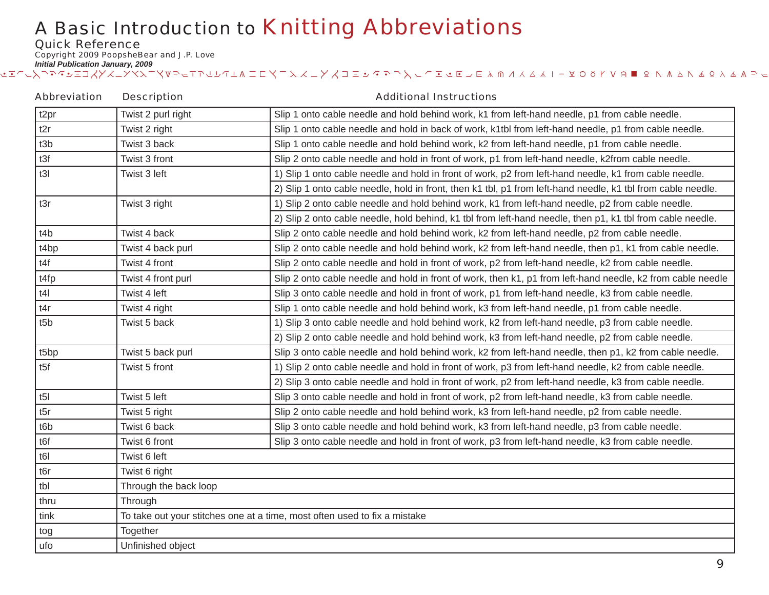Quick Reference

Copyright 2009 PoopsheBear and J.P. Love

| <b>Abbreviation</b> | <b>Description</b>                                                        | <b>Additional Instructions</b>                                                                               |
|---------------------|---------------------------------------------------------------------------|--------------------------------------------------------------------------------------------------------------|
| t <sub>2pr</sub>    | Twist 2 purl right                                                        | Slip 1 onto cable needle and hold behind work, k1 from left-hand needle, p1 from cable needle.               |
| t2r                 | Twist 2 right                                                             | Slip 1 onto cable needle and hold in back of work, k1tbl from left-hand needle, p1 from cable needle.        |
| t3b                 | Twist 3 back                                                              | Slip 1 onto cable needle and hold behind work, k2 from left-hand needle, p1 from cable needle.               |
| t3f                 | Twist 3 front                                                             | Slip 2 onto cable needle and hold in front of work, p1 from left-hand needle, k2from cable needle.           |
| t3I                 | Twist 3 left                                                              | 1) Slip 1 onto cable needle and hold in front of work, p2 from left-hand needle, k1 from cable needle.       |
|                     |                                                                           | 2) Slip 1 onto cable needle, hold in front, then k1 tbl, p1 from left-hand needle, k1 tbl from cable needle. |
| t3r                 | Twist 3 right                                                             | 1) Slip 2 onto cable needle and hold behind work, k1 from left-hand needle, p2 from cable needle.            |
|                     |                                                                           | 2) Slip 2 onto cable needle, hold behind, k1 tbl from left-hand needle, then p1, k1 tbl from cable needle.   |
| t4b                 | Twist 4 back                                                              | Slip 2 onto cable needle and hold behind work, k2 from left-hand needle, p2 from cable needle.               |
| t4bp                | Twist 4 back purl                                                         | Slip 2 onto cable needle and hold behind work, k2 from left-hand needle, then p1, k1 from cable needle.      |
| t4f                 | Twist 4 front                                                             | Slip 2 onto cable needle and hold in front of work, p2 from left-hand needle, k2 from cable needle.          |
| t4fp                | Twist 4 front purl                                                        | Slip 2 onto cable needle and hold in front of work, then k1, p1 from left-hand needle, k2 from cable needle  |
| t4                  | Twist 4 left                                                              | Slip 3 onto cable needle and hold in front of work, p1 from left-hand needle, k3 from cable needle.          |
| t4r                 | Twist 4 right                                                             | Slip 1 onto cable needle and hold behind work, k3 from left-hand needle, p1 from cable needle.               |
| t5b                 | Twist 5 back                                                              | 1) Slip 3 onto cable needle and hold behind work, k2 from left-hand needle, p3 from cable needle.            |
|                     |                                                                           | 2) Slip 2 onto cable needle and hold behind work, k3 from left-hand needle, p2 from cable needle.            |
| t5bp                | Twist 5 back purl                                                         | Slip 3 onto cable needle and hold behind work, k2 from left-hand needle, then p1, k2 from cable needle.      |
| t5f                 | Twist 5 front                                                             | 1) Slip 2 onto cable needle and hold in front of work, p3 from left-hand needle, k2 from cable needle.       |
|                     |                                                                           | 2) Slip 3 onto cable needle and hold in front of work, p2 from left-hand needle, k3 from cable needle.       |
| t5l                 | Twist 5 left                                                              | Slip 3 onto cable needle and hold in front of work, p2 from left-hand needle, k3 from cable needle.          |
| t5r                 | Twist 5 right                                                             | Slip 2 onto cable needle and hold behind work, k3 from left-hand needle, p2 from cable needle.               |
| t <sub>6</sub> b    | Twist 6 back                                                              | Slip 3 onto cable needle and hold behind work, k3 from left-hand needle, p3 from cable needle.               |
| t6f                 | Twist 6 front                                                             | Slip 3 onto cable needle and hold in front of work, p3 from left-hand needle, k3 from cable needle.          |
| t6I                 | Twist 6 left                                                              |                                                                                                              |
| t6r                 | Twist 6 right                                                             |                                                                                                              |
| tbl                 | Through the back loop                                                     |                                                                                                              |
| thru                | Through                                                                   |                                                                                                              |
| tink                | To take out your stitches one at a time, most often used to fix a mistake |                                                                                                              |
| tog                 | Together                                                                  |                                                                                                              |
| ufo                 | Unfinished object                                                         |                                                                                                              |